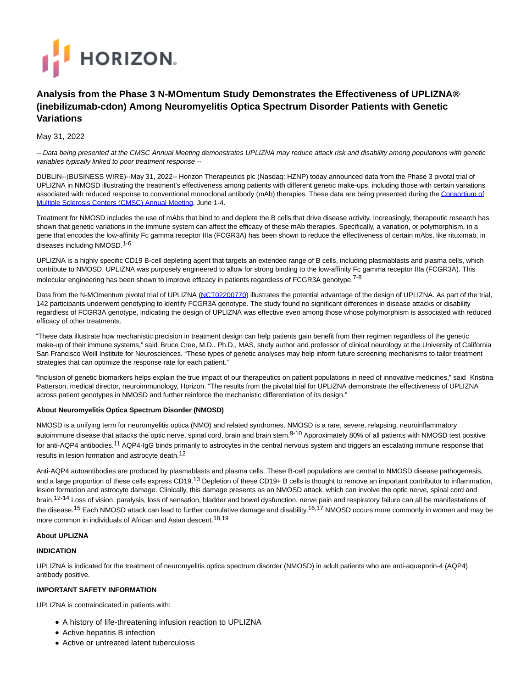

# **Analysis from the Phase 3 N-MOmentum Study Demonstrates the Effectiveness of UPLIZNA® (inebilizumab-cdon) Among Neuromyelitis Optica Spectrum Disorder Patients with Genetic Variations**

## May 31, 2022

-- Data being presented at the CMSC Annual Meeting demonstrates UPLIZNA may reduce attack risk and disability among populations with genetic variables typically linked to poor treatment response --

DUBLIN--(BUSINESS WIRE)--May 31, 2022-- Horizon Therapeutics plc (Nasdaq: HZNP) today announced data from the Phase 3 pivotal trial of UPLIZNA in NMOSD illustrating the treatment's effectiveness among patients with different genetic make-ups, including those with certain variations associated with reduced [response to conventional monoclonal antibody \(mAb\) therapies. These data are being presented during the Consortium of](https://cts.businesswire.com/ct/CT?id=smartlink&url=https%3A%2F%2Fcmscscholar.org%2F2022-annual-meeting%2F&esheet=52734683&newsitemid=20220531005361&lan=en-US&anchor=Consortium+of+Multiple+Sclerosis+Centers+%28CMSC%29+Annual+Meeting&index=1&md5=0eb4bc250387660a39b4adbf44d3ddde) Multiple Sclerosis Centers (CMSC) Annual Meeting, June 1-4.

Treatment for NMOSD includes the use of mAbs that bind to and deplete the B cells that drive disease activity. Increasingly, therapeutic research has shown that genetic variations in the immune system can affect the efficacy of these mAb therapies. Specifically, a variation, or polymorphism, in a gene that encodes the low-affinity Fc gamma receptor IIIa (FCGR3A) has been shown to reduce the effectiveness of certain mAbs, like rituximab, in diseases including NMOSD.1-6

UPLIZNA is a highly specific CD19 B-cell depleting agent that targets an extended range of B cells, including plasmablasts and plasma cells, which contribute to NMOSD. UPLIZNA was purposely engineered to allow for strong binding to the low-affinity Fc gamma receptor IIIa (FCGR3A). This molecular engineering has been shown to improve efficacy in patients regardless of FCGR3A genotype.<sup>7-8</sup>

Data from the N-MOmentum pivotal trial of UPLIZNA [\(NCT02200770\)](https://cts.businesswire.com/ct/CT?id=smartlink&url=https%3A%2F%2Fwww.clinicaltrials.gov%2Fct2%2Fshow%2FNCT02200770&esheet=52734683&newsitemid=20220531005361&lan=en-US&anchor=NCT02200770&index=2&md5=421d65698d0f858cef7e58823013b3e0) illustrates the potential advantage of the design of UPLIZNA. As part of the trial, 142 participants underwent genotyping to identify FCGR3A genotype. The study found no significant differences in disease attacks or disability regardless of FCGR3A genotype, indicating the design of UPLIZNA was effective even among those whose polymorphism is associated with reduced efficacy of other treatments.

"These data illustrate how mechanistic precision in treatment design can help patients gain benefit from their regimen regardless of the genetic make-up of their immune systems," said Bruce Cree, M.D., Ph.D., MAS, study author and professor of clinical neurology at the University of California San Francisco Weill Institute for Neurosciences. "These types of genetic analyses may help inform future screening mechanisms to tailor treatment strategies that can optimize the response rate for each patient."

"Inclusion of genetic biomarkers helps explain the true impact of our therapeutics on patient populations in need of innovative medicines," said Kristina Patterson, medical director, neuroimmunology, Horizon. "The results from the pivotal trial for UPLIZNA demonstrate the effectiveness of UPLIZNA across patient genotypes in NMOSD and further reinforce the mechanistic differentiation of its design."

#### **About Neuromyelitis Optica Spectrum Disorder (NMOSD)**

NMOSD is a unifying term for neuromyelitis optica (NMO) and related syndromes. NMOSD is a rare, severe, relapsing, neuroinflammatory autoimmune disease that attacks the optic nerve, spinal cord, brain and brain stem.<sup>9-10</sup> Approximately 80% of all patients with NMOSD test positive for anti-AQP4 antibodies.11 AQP4-IgG binds primarily to astrocytes in the central nervous system and triggers an escalating immune response that results in lesion formation and astrocyte death.<sup>12</sup>

Anti-AQP4 autoantibodies are produced by plasmablasts and plasma cells. These B-cell populations are central to NMOSD disease pathogenesis, and a large proportion of these cells express CD19.<sup>13</sup> Depletion of these CD19+ B cells is thought to remove an important contributor to inflammation, lesion formation and astrocyte damage. Clinically, this damage presents as an NMOSD attack, which can involve the optic nerve, spinal cord and brain.<sup>12-14</sup> Loss of vision, paralysis, loss of sensation, bladder and bowel dysfunction, nerve pain and respiratory failure can all be manifestations of the disease.<sup>15</sup> Each NMOSD attack can lead to further cumulative damage and disability.<sup>16,17</sup> NMOSD occurs more commonly in women and may be more common in individuals of African and Asian descent.<sup>18,19</sup>

## **About UPLIZNA**

# **INDICATION**

UPLIZNA is indicated for the treatment of neuromyelitis optica spectrum disorder (NMOSD) in adult patients who are anti-aquaporin-4 (AQP4) antibody positive.

## **IMPORTANT SAFETY INFORMATION**

UPLIZNA is contraindicated in patients with:

- A history of life-threatening infusion reaction to UPLIZNA
- Active hepatitis B infection
- Active or untreated latent tuberculosis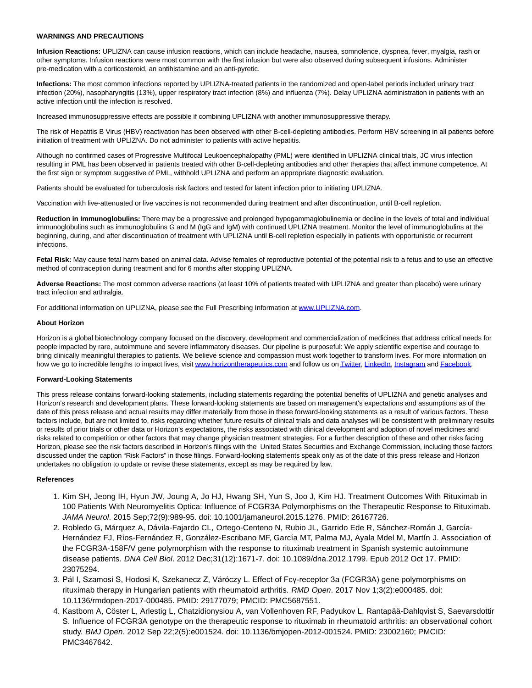#### **WARNINGS AND PRECAUTIONS**

**Infusion Reactions:** UPLIZNA can cause infusion reactions, which can include headache, nausea, somnolence, dyspnea, fever, myalgia, rash or other symptoms. Infusion reactions were most common with the first infusion but were also observed during subsequent infusions. Administer pre-medication with a corticosteroid, an antihistamine and an anti-pyretic.

**Infections:** The most common infections reported by UPLIZNA-treated patients in the randomized and open-label periods included urinary tract infection (20%), nasopharyngitis (13%), upper respiratory tract infection (8%) and influenza (7%). Delay UPLIZNA administration in patients with an active infection until the infection is resolved.

Increased immunosuppressive effects are possible if combining UPLIZNA with another immunosuppressive therapy.

The risk of Hepatitis B Virus (HBV) reactivation has been observed with other B-cell-depleting antibodies. Perform HBV screening in all patients before initiation of treatment with UPLIZNA. Do not administer to patients with active hepatitis.

Although no confirmed cases of Progressive Multifocal Leukoencephalopathy (PML) were identified in UPLIZNA clinical trials, JC virus infection resulting in PML has been observed in patients treated with other B-cell-depleting antibodies and other therapies that affect immune competence. At the first sign or symptom suggestive of PML, withhold UPLIZNA and perform an appropriate diagnostic evaluation.

Patients should be evaluated for tuberculosis risk factors and tested for latent infection prior to initiating UPLIZNA.

Vaccination with live-attenuated or live vaccines is not recommended during treatment and after discontinuation, until B-cell repletion.

**Reduction in Immunoglobulins:** There may be a progressive and prolonged hypogammaglobulinemia or decline in the levels of total and individual immunoglobulins such as immunoglobulins G and M (IgG and IgM) with continued UPLIZNA treatment. Monitor the level of immunoglobulins at the beginning, during, and after discontinuation of treatment with UPLIZNA until B-cell repletion especially in patients with opportunistic or recurrent infections.

Fetal Risk: May cause fetal harm based on animal data. Advise females of reproductive potential of the potential risk to a fetus and to use an effective method of contraception during treatment and for 6 months after stopping UPLIZNA.

**Adverse Reactions:** The most common adverse reactions (at least 10% of patients treated with UPLIZNA and greater than placebo) were urinary tract infection and arthralgia.

For additional information on UPLIZNA, please see the Full Prescribing Information at [www.UPLIZNA.com.](https://cts.businesswire.com/ct/CT?id=smartlink&url=http%3A%2F%2Fwww.UPLIZNA.com&esheet=52734683&newsitemid=20220531005361&lan=en-US&anchor=www.UPLIZNA.com&index=3&md5=18ae19ceeae5274a580c02de214e0002)

#### **About Horizon**

Horizon is a global biotechnology company focused on the discovery, development and commercialization of medicines that address critical needs for people impacted by rare, autoimmune and severe inflammatory diseases. Our pipeline is purposeful: We apply scientific expertise and courage to bring clinically meaningful therapies to patients. We believe science and compassion must work together to transform lives. For more information on how we go to incredible lengths to impact lives, visit [www.horizontherapeutics.com a](https://cts.businesswire.com/ct/CT?id=smartlink&url=http%3A%2F%2Fwww.horizontherapeutics.com%2F&esheet=52734683&newsitemid=20220531005361&lan=en-US&anchor=www.horizontherapeutics.com&index=4&md5=ff6e047d3abeec873a6d2716ff22ca25)nd follow us o[n Twitter,](https://cts.businesswire.com/ct/CT?id=smartlink&url=https%3A%2F%2Ftwitter.com%2FHorizonNews&esheet=52734683&newsitemid=20220531005361&lan=en-US&anchor=Twitter&index=5&md5=6e378e7ef3de96d97022cba3c42845df) [LinkedIn,](https://cts.businesswire.com/ct/CT?id=smartlink&url=https%3A%2F%2Fwww.linkedin.com%2Fcompany%2Fhorizontherapeutics&esheet=52734683&newsitemid=20220531005361&lan=en-US&anchor=LinkedIn&index=6&md5=ecf5ece91fc3cbdd58de1961dffd8a39) [Instagram a](https://cts.businesswire.com/ct/CT?id=smartlink&url=https%3A%2F%2Fwww.instagram.com%2Fhorizontherapeutics%2F&esheet=52734683&newsitemid=20220531005361&lan=en-US&anchor=Instagram&index=7&md5=1d19b65ce8cbc7d0bd6df15c6a363b4f)nd [Facebook.](https://cts.businesswire.com/ct/CT?id=smartlink&url=https%3A%2F%2Fwww.facebook.com%2FHorizonTherapeutics%2F&esheet=52734683&newsitemid=20220531005361&lan=en-US&anchor=Facebook&index=8&md5=86f86a86b7df8d62e656e4175ad1ef08)

#### **Forward-Looking Statements**

This press release contains forward-looking statements, including statements regarding the potential benefits of UPLIZNA and genetic analyses and Horizon's research and development plans. These forward-looking statements are based on management's expectations and assumptions as of the date of this press release and actual results may differ materially from those in these forward-looking statements as a result of various factors. These factors include, but are not limited to, risks regarding whether future results of clinical trials and data analyses will be consistent with preliminary results or results of prior trials or other data or Horizon's expectations, the risks associated with clinical development and adoption of novel medicines and risks related to competition or other factors that may change physician treatment strategies. For a further description of these and other risks facing Horizon, please see the risk factors described in Horizon's filings with the United States Securities and Exchange Commission, including those factors discussed under the caption "Risk Factors" in those filings. Forward-looking statements speak only as of the date of this press release and Horizon undertakes no obligation to update or revise these statements, except as may be required by law.

#### **References**

- 1. Kim SH, Jeong IH, Hyun JW, Joung A, Jo HJ, Hwang SH, Yun S, Joo J, Kim HJ. Treatment Outcomes With Rituximab in 100 Patients With Neuromyelitis Optica: Influence of FCGR3A Polymorphisms on the Therapeutic Response to Rituximab. JAMA Neurol. 2015 Sep;72(9):989-95. doi: 10.1001/jamaneurol.2015.1276. PMID: 26167726.
- 2. Robledo G, Márquez A, Dávila-Fajardo CL, Ortego-Centeno N, Rubio JL, Garrido Ede R, Sánchez-Román J, García-Hernández FJ, Ríos-Fernández R, González-Escribano MF, García MT, Palma MJ, Ayala Mdel M, Martín J. Association of the FCGR3A-158F/V gene polymorphism with the response to rituximab treatment in Spanish systemic autoimmune disease patients. DNA Cell Biol. 2012 Dec;31(12):1671-7. doi: 10.1089/dna.2012.1799. Epub 2012 Oct 17. PMID: 23075294.
- Pál I, Szamosi S, Hodosi K, Szekanecz Z, Váróczy L. Effect of Fcγ-receptor 3a (FCGR3A) gene polymorphisms on 3. rituximab therapy in Hungarian patients with rheumatoid arthritis. RMD Open. 2017 Nov 1;3(2):e000485. doi: 10.1136/rmdopen-2017-000485. PMID: 29177079; PMCID: PMC5687551.
- 4. Kastbom A, Cöster L, Arlestig L, Chatzidionysiou A, van Vollenhoven RF, Padyukov L, Rantapää-Dahlqvist S, Saevarsdottir S. Influence of FCGR3A genotype on the therapeutic response to rituximab in rheumatoid arthritis: an observational cohort study. BMJ Open. 2012 Sep 22;2(5):e001524. doi: 10.1136/bmjopen-2012-001524. PMID: 23002160; PMCID: PMC3467642.